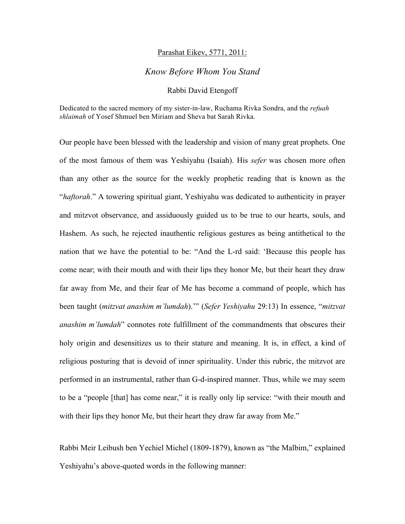### Parashat Eikev, 5771, 2011:

# *Know Before Whom You Stand*

### Rabbi David Etengoff

Dedicated to the sacred memory of my sister-in-law, Ruchama Rivka Sondra, and the *refuah shlaimah* of Yosef Shmuel ben Miriam and Sheva bat Sarah Rivka.

Our people have been blessed with the leadership and vision of many great prophets. One of the most famous of them was Yeshiyahu (Isaiah). His *sefer* was chosen more often than any other as the source for the weekly prophetic reading that is known as the "*haftorah*." A towering spiritual giant, Yeshiyahu was dedicated to authenticity in prayer and mitzvot observance, and assiduously guided us to be true to our hearts, souls, and Hashem. As such, he rejected inauthentic religious gestures as being antithetical to the nation that we have the potential to be: "And the L-rd said: 'Because this people has come near; with their mouth and with their lips they honor Me, but their heart they draw far away from Me, and their fear of Me has become a command of people, which has been taught (*mitzvat anashim m'lumdah*).'" (*Sefer Yeshiyahu* 29:13) In essence, "*mitzvat anashim m'lumdah*" connotes rote fulfillment of the commandments that obscures their holy origin and desensitizes us to their stature and meaning. It is, in effect, a kind of religious posturing that is devoid of inner spirituality. Under this rubric, the mitzvot are performed in an instrumental, rather than G-d-inspired manner. Thus, while we may seem to be a "people [that] has come near," it is really only lip service: "with their mouth and with their lips they honor Me, but their heart they draw far away from Me."

Rabbi Meir Leibush ben Yechiel Michel (1809-1879), known as "the Malbim," explained Yeshiyahu's above-quoted words in the following manner: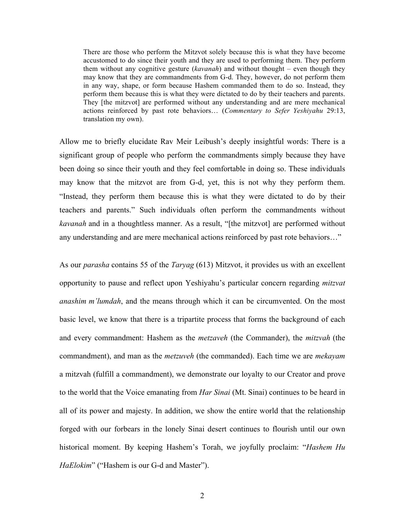There are those who perform the Mitzvot solely because this is what they have become accustomed to do since their youth and they are used to performing them. They perform them without any cognitive gesture (*kavanah*) and without thought – even though they may know that they are commandments from G-d. They, however, do not perform them in any way, shape, or form because Hashem commanded them to do so. Instead, they perform them because this is what they were dictated to do by their teachers and parents. They [the mitzvot] are performed without any understanding and are mere mechanical actions reinforced by past rote behaviors… (*Commentary to Sefer Yeshiyahu* 29:13, translation my own).

Allow me to briefly elucidate Rav Meir Leibush's deeply insightful words: There is a significant group of people who perform the commandments simply because they have been doing so since their youth and they feel comfortable in doing so. These individuals may know that the mitzvot are from G-d, yet, this is not why they perform them. "Instead, they perform them because this is what they were dictated to do by their teachers and parents." Such individuals often perform the commandments without *kavanah* and in a thoughtless manner. As a result, "[the mitzvot] are performed without any understanding and are mere mechanical actions reinforced by past rote behaviors…"

As our *parasha* contains 55 of the *Taryag* (613) Mitzvot, it provides us with an excellent opportunity to pause and reflect upon Yeshiyahu's particular concern regarding *mitzvat anashim m'lumdah*, and the means through which it can be circumvented. On the most basic level, we know that there is a tripartite process that forms the background of each and every commandment: Hashem as the *metzaveh* (the Commander), the *mitzvah* (the commandment), and man as the *metzuveh* (the commanded). Each time we are *mekayam* a mitzvah (fulfill a commandment), we demonstrate our loyalty to our Creator and prove to the world that the Voice emanating from *Har Sinai* (Mt. Sinai) continues to be heard in all of its power and majesty. In addition, we show the entire world that the relationship forged with our forbears in the lonely Sinai desert continues to flourish until our own historical moment. By keeping Hashem's Torah, we joyfully proclaim: "*Hashem Hu HaElokim*" ("Hashem is our G-d and Master").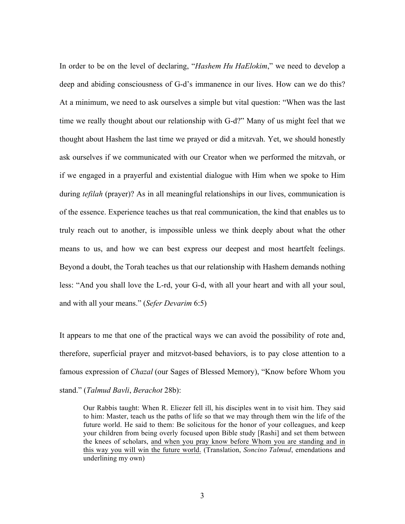In order to be on the level of declaring, "*Hashem Hu HaElokim*," we need to develop a deep and abiding consciousness of G-d's immanence in our lives. How can we do this? At a minimum, we need to ask ourselves a simple but vital question: "When was the last time we really thought about our relationship with G-d?" Many of us might feel that we thought about Hashem the last time we prayed or did a mitzvah. Yet, we should honestly ask ourselves if we communicated with our Creator when we performed the mitzvah, or if we engaged in a prayerful and existential dialogue with Him when we spoke to Him during *tefilah* (prayer)? As in all meaningful relationships in our lives, communication is of the essence. Experience teaches us that real communication, the kind that enables us to truly reach out to another, is impossible unless we think deeply about what the other means to us, and how we can best express our deepest and most heartfelt feelings. Beyond a doubt, the Torah teaches us that our relationship with Hashem demands nothing less: "And you shall love the L-rd, your G-d, with all your heart and with all your soul, and with all your means." (*Sefer Devarim* 6:5)

It appears to me that one of the practical ways we can avoid the possibility of rote and, therefore, superficial prayer and mitzvot-based behaviors, is to pay close attention to a famous expression of *Chazal* (our Sages of Blessed Memory), "Know before Whom you stand." (*Talmud Bavli*, *Berachot* 28b):

Our Rabbis taught: When R. Eliezer fell ill, his disciples went in to visit him. They said to him: Master, teach us the paths of life so that we may through them win the life of the future world. He said to them: Be solicitous for the honor of your colleagues, and keep your children from being overly focused upon Bible study [Rashi] and set them between the knees of scholars, and when you pray know before Whom you are standing and in this way you will win the future world. (Translation, *Soncino Talmud*, emendations and underlining my own)